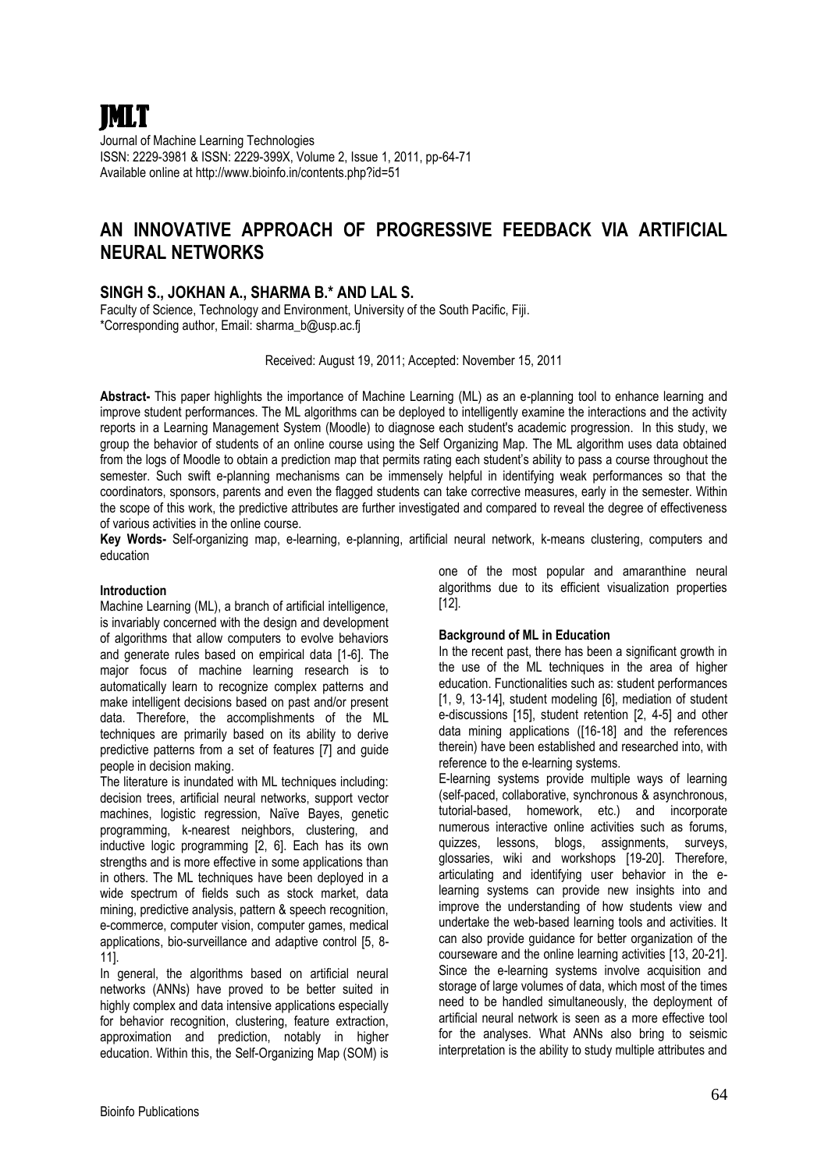

Journal of Machine Learning Technologies ISSN: 2229-3981 & ISSN: 2229-399X, Volume 2, Issue 1, 2011, pp-64-71 Available online at http://www.bioinfo.in/contents.php?id=51

# **AN INNOVATIVE APPROACH OF PROGRESSIVE FEEDBACK VIA ARTIFICIAL NEURAL NETWORKS**

## **SINGH S., JOKHAN A., SHARMA B.\* AND LAL S.**

Faculty of Science, Technology and Environment, University of the South Pacific, Fiji. \*Corresponding author, Email: sharma\_b@usp.ac.fj

Received: August 19, 2011; Accepted: November 15, 2011

**Abstract-** This paper highlights the importance of Machine Learning (ML) as an e-planning tool to enhance learning and improve student performances. The ML algorithms can be deployed to intelligently examine the interactions and the activity reports in a Learning Management System (Moodle) to diagnose each student's academic progression. In this study, we group the behavior of students of an online course using the Self Organizing Map. The ML algorithm uses data obtained from the logs of Moodle to obtain a prediction map that permits rating each student's ability to pass a course throughout the semester. Such swift e-planning mechanisms can be immensely helpful in identifying weak performances so that the coordinators, sponsors, parents and even the flagged students can take corrective measures, early in the semester. Within the scope of this work, the predictive attributes are further investigated and compared to reveal the degree of effectiveness of various activities in the online course.

**Key Words-** Self-organizing map, e-learning, e-planning, artificial neural network, k-means clustering, computers and education

#### **Introduction**

Machine Learning (ML), a branch of artificial intelligence, is invariably concerned with the design and development of algorithms that allow computers to evolve behaviors and generate rules based on empirical data [1-6]. The major focus of machine learning research is to automatically learn to recognize complex patterns and make intelligent decisions based on past and/or present data. Therefore, the accomplishments of the ML techniques are primarily based on its ability to derive predictive patterns from a set of features [7] and guide people in decision making.

The literature is inundated with ML techniques including: decision trees, artificial neural networks, support vector machines, logistic regression, Naïve Bayes, genetic programming, k-nearest neighbors, clustering, and inductive logic programming [2, 6]. Each has its own strengths and is more effective in some applications than in others. The ML techniques have been deployed in a wide spectrum of fields such as stock market, data mining, predictive analysis, pattern & speech recognition, e-commerce, computer vision, computer games, medical applications, bio-surveillance and adaptive control [5, 8- 11].

In general, the algorithms based on artificial neural networks (ANNs) have proved to be better suited in highly complex and data intensive applications especially for behavior recognition, clustering, feature extraction, approximation and prediction, notably in higher education. Within this, the Self-Organizing Map (SOM) is

one of the most popular and amaranthine neural algorithms due to its efficient visualization properties [12].

### **Background of ML in Education**

In the recent past, there has been a significant growth in the use of the ML techniques in the area of higher education. Functionalities such as: student performances [1, 9, 13-14], student modeling [6], mediation of student e-discussions [15], student retention [2, 4-5] and other data mining applications ([16-18] and the references therein) have been established and researched into, with reference to the e-learning systems.

E-learning systems provide multiple ways of learning (self-paced, collaborative, synchronous & asynchronous, tutorial-based, homework, etc.) and incorporate numerous interactive online activities such as forums, quizzes, lessons, blogs, assignments, surveys, glossaries, wiki and workshops [19-20]. Therefore, articulating and identifying user behavior in the elearning systems can provide new insights into and improve the understanding of how students view and undertake the web-based learning tools and activities. It can also provide guidance for better organization of the courseware and the online learning activities [13, 20-21]. Since the e-learning systems involve acquisition and storage of large volumes of data, which most of the times need to be handled simultaneously, the deployment of artificial neural network is seen as a more effective tool for the analyses. What ANNs also bring to seismic interpretation is the ability to study multiple attributes and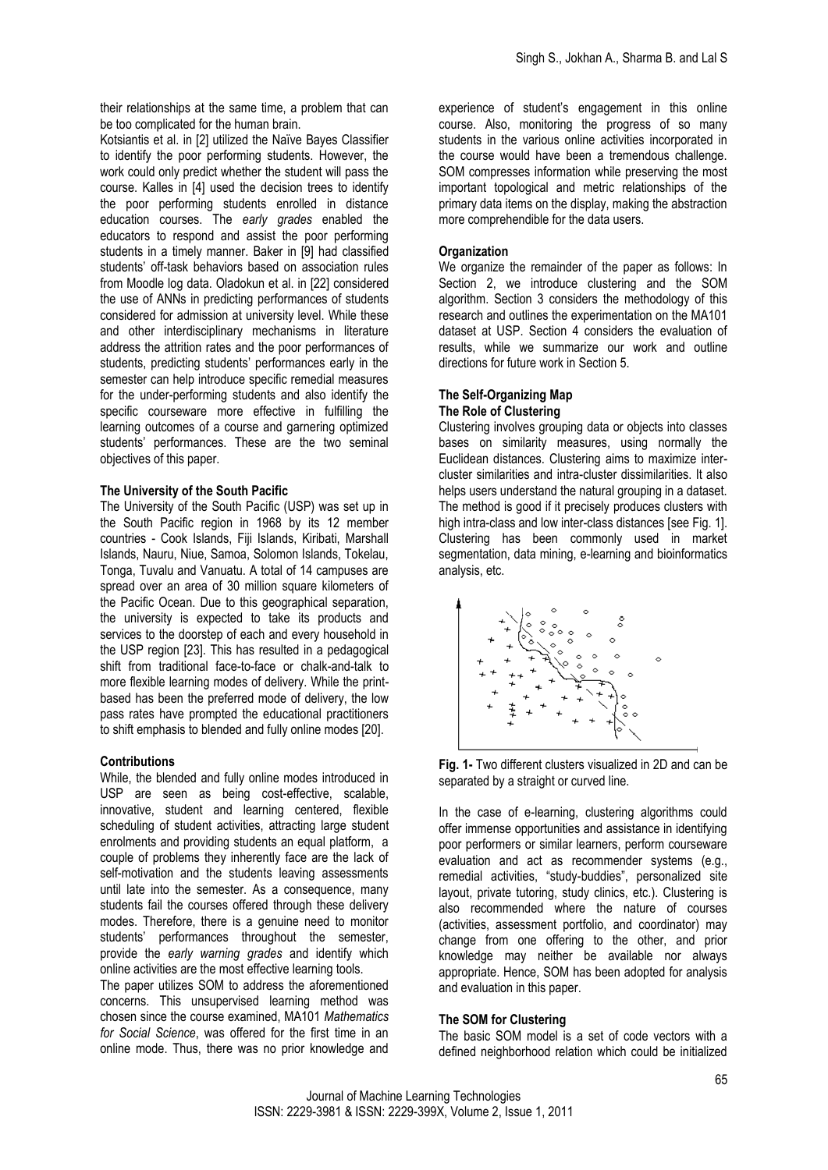their relationships at the same time, a problem that can be too complicated for the human brain.

Kotsiantis et al. in [2] utilized the Naïve Bayes Classifier to identify the poor performing students. However, the work could only predict whether the student will pass the course. Kalles in [4] used the decision trees to identify the poor performing students enrolled in distance education courses. The *early grades* enabled the educators to respond and assist the poor performing students in a timely manner. Baker in [9] had classified students' off-task behaviors based on association rules from Moodle log data. Oladokun et al. in [22] considered the use of ANNs in predicting performances of students considered for admission at university level. While these and other interdisciplinary mechanisms in literature address the attrition rates and the poor performances of students, predicting students' performances early in the semester can help introduce specific remedial measures for the under-performing students and also identify the specific courseware more effective in fulfilling the learning outcomes of a course and garnering optimized students' performances. These are the two seminal objectives of this paper.

#### **The University of the South Pacific**

The University of the South Pacific (USP) was set up in the South Pacific region in 1968 by its 12 member countries - Cook Islands, Fiji Islands, Kiribati, Marshall Islands, Nauru, Niue, Samoa, Solomon Islands, Tokelau, Tonga, Tuvalu and Vanuatu. A total of 14 campuses are spread over an area of 30 million square kilometers of the Pacific Ocean. Due to this geographical separation, the university is expected to take its products and services to the doorstep of each and every household in the USP region [23]. This has resulted in a pedagogical shift from traditional face-to-face or chalk-and-talk to more flexible learning modes of delivery. While the printbased has been the preferred mode of delivery, the low pass rates have prompted the educational practitioners to shift emphasis to blended and fully online modes [20].

#### **Contributions**

While, the blended and fully online modes introduced in USP are seen as being cost-effective, scalable, innovative, student and learning centered, flexible scheduling of student activities, attracting large student enrolments and providing students an equal platform, a couple of problems they inherently face are the lack of self-motivation and the students leaving assessments until late into the semester. As a consequence, many students fail the courses offered through these delivery modes. Therefore, there is a genuine need to monitor students' performances throughout the semester, provide the *early warning grades* and identify which online activities are the most effective learning tools.

The paper utilizes SOM to address the aforementioned concerns. This unsupervised learning method was chosen since the course examined, MA101 *Mathematics for Social Science*, was offered for the first time in an online mode. Thus, there was no prior knowledge and

experience of student's engagement in this online course. Also, monitoring the progress of so many students in the various online activities incorporated in the course would have been a tremendous challenge. SOM compresses information while preserving the most important topological and metric relationships of the primary data items on the display, making the abstraction more comprehendible for the data users.

#### **Organization**

We organize the remainder of the paper as follows: In Section 2, we introduce clustering and the SOM algorithm. Section 3 considers the methodology of this research and outlines the experimentation on the MA101 dataset at USP. Section 4 considers the evaluation of results, while we summarize our work and outline directions for future work in Section 5.

#### **The Self-Organizing Map The Role of Clustering**

Clustering involves grouping data or objects into classes bases on similarity measures, using normally the Euclidean distances. Clustering aims to maximize intercluster similarities and intra-cluster dissimilarities. It also helps users understand the natural grouping in a dataset. The method is good if it precisely produces clusters with high intra-class and low inter-class distances [see Fig. 1]. Clustering has been commonly used in market segmentation, data mining, e-learning and bioinformatics analysis, etc.



**Fig. 1-** Two different clusters visualized in 2D and can be separated by a straight or curved line.

In the case of e-learning, clustering algorithms could offer immense opportunities and assistance in identifying poor performers or similar learners, perform courseware evaluation and act as recommender systems (e.g., remedial activities, "study-buddies", personalized site layout, private tutoring, study clinics, etc.). Clustering is also recommended where the nature of courses (activities, assessment portfolio, and coordinator) may change from one offering to the other, and prior knowledge may neither be available nor always appropriate. Hence, SOM has been adopted for analysis and evaluation in this paper.

#### **The SOM for Clustering**

The basic SOM model is a set of code vectors with a defined neighborhood relation which could be initialized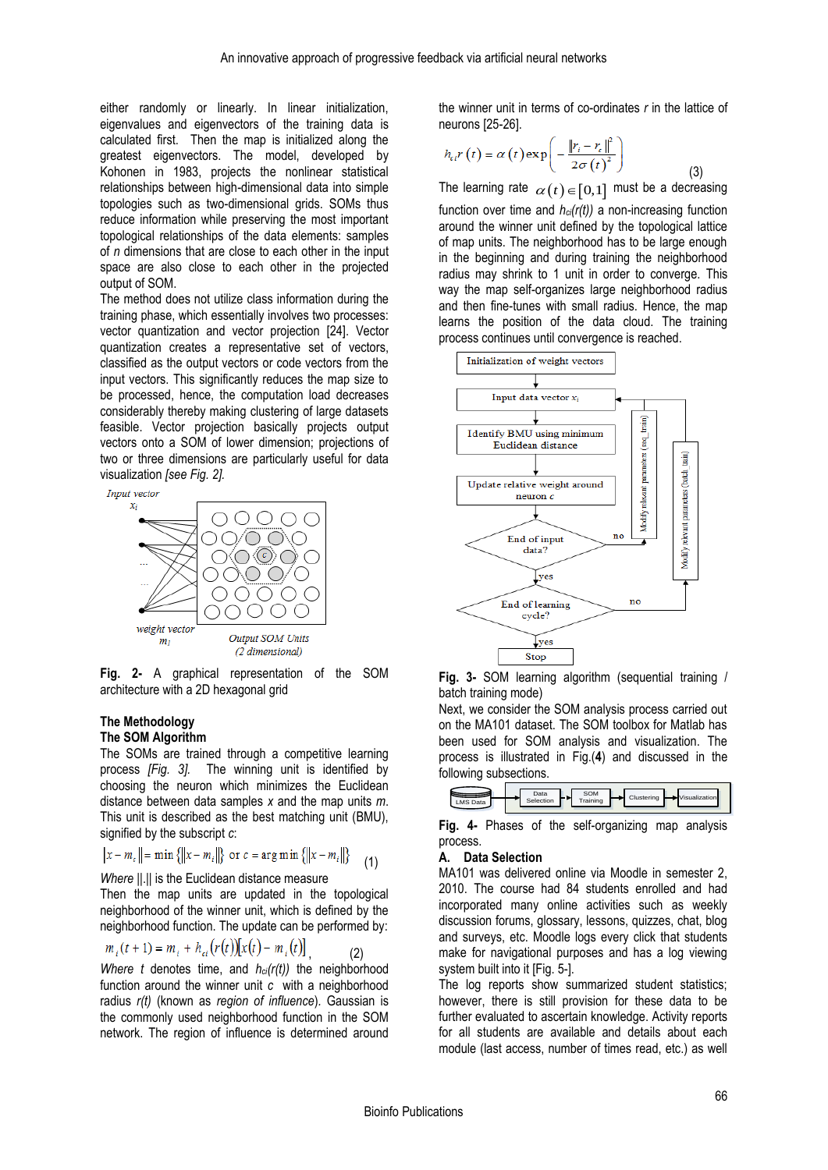either randomly or linearly. In linear initialization, eigenvalues and eigenvectors of the training data is calculated first. Then the map is initialized along the greatest eigenvectors. The model, developed by Kohonen in 1983, projects the nonlinear statistical relationships between high-dimensional data into simple topologies such as two-dimensional grids. SOMs thus reduce information while preserving the most important topological relationships of the data elements: samples of *n* dimensions that are close to each other in the input space are also close to each other in the projected output of SOM.

The method does not utilize class information during the training phase, which essentially involves two processes: vector quantization and vector projection [24]. Vector quantization creates a representative set of vectors, classified as the output vectors or code vectors from the input vectors. This significantly reduces the map size to be processed, hence, the computation load decreases considerably thereby making clustering of large datasets feasible. Vector projection basically projects output vectors onto a SOM of lower dimension; projections of two or three dimensions are particularly useful for data visualization *[see Fig. 2].*



**Fig. 2-** A graphical representation of the SOM architecture with a 2D hexagonal grid

# **The Methodology**

## **The SOM Algorithm**

The SOMs are trained through a competitive learning process *[Fig. 3].* The winning unit is identified by choosing the neuron which minimizes the Euclidean distance between data samples *x* and the map units *m*. This unit is described as the best matching unit (BMU), signified by the subscript *c*:

$$
||x - m_c|| = \min \{||x - m_i||\} \text{ or } c = \arg \min \{||x - m_i||\} \tag{1}
$$

*Where II.II is the Euclidean distance measure* 

Then the map units are updated in the topological neighborhood of the winner unit, which is defined by the neighborhood function. The update can be performed by:

$$
m_i(t+1) = m_i + h_{ei}(r(t)) [x(t) - m_i(t)]
$$
 (2)

*Where t* denotes time, and *hci(r(t))* the neighborhood function around the winner unit *c* with a neighborhood radius *r(t)* (known as *region of influence*)*.* Gaussian is the commonly used neighborhood function in the SOM network. The region of influence is determined around

the winner unit in terms of co-ordinates *r* in the lattice of neurons [25-26].

$$
h_{\epsilon i}r(t) = \alpha(t) \exp\left(-\frac{\left\|r_{i} - r_{\epsilon}\right\|^{2}}{2\sigma(t)^{2}}\right)
$$
\n(3)

The learning rate  $\alpha(t)$   $\in$   $[0,1]$  must be a decreasing function over time and *hci(r(t))* a non-increasing function around the winner unit defined by the topological lattice of map units. The neighborhood has to be large enough in the beginning and during training the neighborhood radius may shrink to 1 unit in order to converge. This way the map self-organizes large neighborhood radius and then fine-tunes with small radius. Hence, the map learns the position of the data cloud. The training process continues until convergence is reached.



**Fig. 3-** SOM learning algorithm (sequential training / batch training mode)

Next, we consider the SOM analysis process carried out on the MA101 dataset. The SOM toolbox for Matlab has been used for SOM analysis and visualization. The process is illustrated in Fig.(**4**) and discussed in the following subsections.

|--|

**Fig. 4-** Phases of the self-organizing map analysis process.

## **A. Data Selection**

MA101 was delivered online via Moodle in semester 2, 2010. The course had 84 students enrolled and had incorporated many online activities such as weekly discussion forums, glossary, lessons, quizzes, chat, blog and surveys, etc. Moodle logs every click that students make for navigational purposes and has a log viewing system built into it [Fig. 5-].

The log reports show summarized student statistics; however, there is still provision for these data to be further evaluated to ascertain knowledge. Activity reports for all students are available and details about each module (last access, number of times read, etc.) as well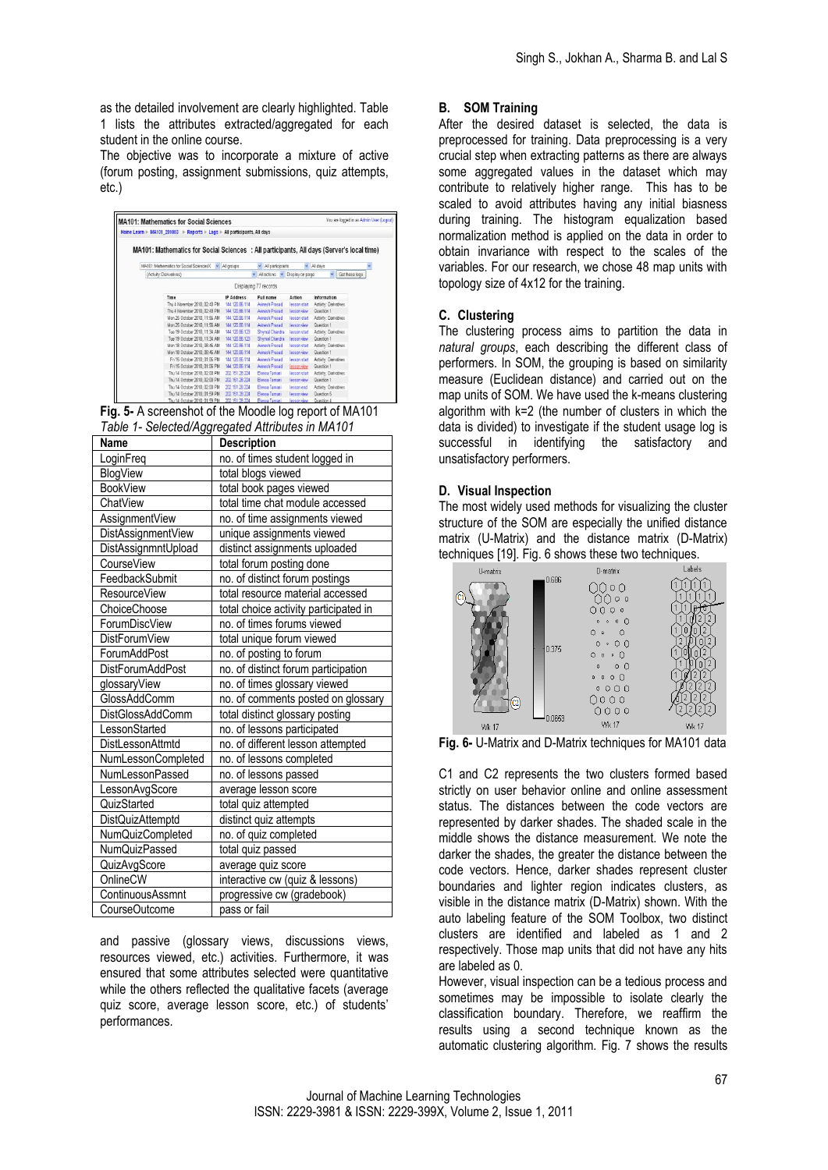as the detailed involvement are clearly highlighted. Table 1 lists the attributes extracted/aggregated for each student in the online course.

The objective was to incorporate a mixture of active (forum posting, assignment submissions, quiz attempts, etc.)

| <b>MA101: Mathematics for Social Sciences</b><br>Home Learn > MA101_201003 > Reports > Logs > All participants, All days |                |                         |                   |                       | You are logged in as Admin User (Logout) |
|--------------------------------------------------------------------------------------------------------------------------|----------------|-------------------------|-------------------|-----------------------|------------------------------------------|
| MA101: Mathematics for Social Sciences : All participants, All days (Server's local time)                                |                |                         |                   |                       |                                          |
| MA101: Methematics for Social SciencesX . All groups                                                                     |                | $\vee$ All perficipents |                   | $~\vee~$ All days     |                                          |
| (Activity: Derivatives)                                                                                                  |                | $\vee$ All actions      | v Display on page | $\vee$                | Get these logs                           |
|                                                                                                                          |                | Displaying 77 records   |                   |                       |                                          |
| Time                                                                                                                     | IP Address     | Full name               | Action            | Information           |                                          |
| Thu 4 November 2010. 02:43 PM                                                                                            | 144 120 86 114 | Avinesh Prasad          | lesson start      | Activity: Derivatives |                                          |
| Thu 4 November 2010. 02:43 PM                                                                                            | 144.120.86.114 | Aveach Prasad           | lesson view       | Question 1            |                                          |
| Mon 25 October 2010, 11:56 AM                                                                                            | 144.120.86.114 | Avisech Prasad          | lesson start      | Activity: Derivatives |                                          |
| Mon 25 October 2010, 11:56 AM                                                                                            | 144 120 86 114 | Avinesh Prasad          | lesson view       | Question 1            |                                          |
| Tue 19 October 2010, 11:34 AM                                                                                            | 144.120.86.123 | Shymal Chandra          | lesson start      | Activity: Derivatives |                                          |
| Tue 19 October 2010, 11:34 AM                                                                                            | 144 120.86.123 | Shymal Changra          | lesson view       | Question 1            |                                          |
| Mon 18 October 2010. 08:46 AM                                                                                            | 144.120.66.114 | Avinesh Prasad          | lesson start      | Activity: Derivatives |                                          |
| Mon 18 October 2010, 08:46 AM                                                                                            | 144 120 86 114 | Avinesh Prasad          | lesson view       | Question 1            |                                          |
| Fri 15 October 2010, 01:06 PM                                                                                            | 144.120.86.114 | Avinesh Prasad          | lesson start      | Activity: Derivatives |                                          |
| Fri 15 October 2010, 01:06 PM                                                                                            | 144.120.86.114 | Avenuesh Prasad         | lesson view       | Question 1            |                                          |
| Thu 14 October 2010 02:00 PM                                                                                             | 202 151 28 224 | Elenca Tamani           | lesson start      | Activity: Derivatives |                                          |
| Thu 14 October 2010, 02:00 PM                                                                                            | 202 151 28 224 | Elenoa Tamani           | lesson view       | Question 1            |                                          |
| Thu 14 October 2010. 02:00 PM                                                                                            | 202 151 28 224 | Elenoa Tamani           | lesson end        | Activity: Derivatives |                                          |
| Thu 14 October 2010. 01:59 PM                                                                                            | 202 151 28 224 | Elenga Tamani           | lesson view       | Question 5            |                                          |
| Thu 14 October 2010, 01:59 PM                                                                                            | 202 151 28 224 | Elenoa Tamani           | lesson view       | Question 4            |                                          |

| Fig. 5- A screenshot of the Moodle log report of MA101 |  |
|--------------------------------------------------------|--|
| Table 1- Selected/Aggregated Attributes in MA101       |  |

| Name                    | <b>Description</b>                    |
|-------------------------|---------------------------------------|
| LoginFreq               | no. of times student logged in        |
| BlogView                | total blogs viewed                    |
| <b>BookView</b>         | total book pages viewed               |
| ChatView                | total time chat module accessed       |
| AssignmentView          | no. of time assignments viewed        |
| DistAssignmentView      | unique assignments viewed             |
| DistAssignmntUpload     | distinct assignments uploaded         |
| CourseView              | total forum posting done              |
| FeedbackSubmit          | no. of distinct forum postings        |
| <b>ResourceView</b>     | total resource material accessed      |
| ChoiceChoose            | total choice activity participated in |
| ForumDiscView           | no. of times forums viewed            |
| <b>DistForumView</b>    | total unique forum viewed             |
| ForumAddPost            | no. of posting to forum               |
| <b>DistForumAddPost</b> | no. of distinct forum participation   |
| glossaryView            | no. of times glossary viewed          |
| GlossAddComm            | no. of comments posted on glossary    |
| DistGlossAddComm        | total distinct glossary posting       |
| LessonStarted           | no. of lessons participated           |
| DistLessonAttmtd        | no. of different lesson attempted     |
| NumLessonCompleted      | no. of lessons completed              |
| NumLessonPassed         | no. of lessons passed                 |
| LessonAvgScore          | average lesson score                  |
| QuizStarted             | total quiz attempted                  |
| DistQuizAttemptd        | distinct quiz attempts                |
| NumQuizCompleted        | no. of quiz completed                 |
| NumQuizPassed           | total quiz passed                     |
| QuizAvgScore            | average quiz score                    |
| <b>OnlineCW</b>         | interactive cw (quiz & lessons)       |
| ContinuousAssmnt        | progressive cw (gradebook)            |
| CourseOutcome           | pass or fail                          |

and passive (glossary views, discussions views, resources viewed, etc.) activities. Furthermore, it was ensured that some attributes selected were quantitative while the others reflected the qualitative facets (average quiz score, average lesson score, etc.) of students' performances.

### **B. SOM Training**

After the desired dataset is selected, the data is preprocessed for training. Data preprocessing is a very crucial step when extracting patterns as there are always some aggregated values in the dataset which may contribute to relatively higher range. This has to be scaled to avoid attributes having any initial biasness during training. The histogram equalization based normalization method is applied on the data in order to obtain invariance with respect to the scales of the variables. For our research, we chose 48 map units with topology size of 4x12 for the training.

## **C. Clustering**

The clustering process aims to partition the data in *natural groups*, each describing the different class of performers. In SOM, the grouping is based on similarity measure (Euclidean distance) and carried out on the map units of SOM. We have used the k-means clustering algorithm with k=2 (the number of clusters in which the data is divided) to investigate if the student usage log is successful in identifying the satisfactory and unsatisfactory performers.

## **D. Visual Inspection**

The most widely used methods for visualizing the cluster structure of the SOM are especially the unified distance matrix (U-Matrix) and the distance matrix (D-Matrix) techniques [19]. Fig. 6 shows these two techniques.





C1 and C2 represents the two clusters formed based strictly on user behavior online and online assessment status. The distances between the code vectors are represented by darker shades. The shaded scale in the middle shows the distance measurement. We note the darker the shades, the greater the distance between the code vectors. Hence, darker shades represent cluster boundaries and lighter region indicates clusters, as visible in the distance matrix (D-Matrix) shown. With the auto labeling feature of the SOM Toolbox, two distinct clusters are identified and labeled as 1 and 2 respectively. Those map units that did not have any hits are labeled as 0.

However, visual inspection can be a tedious process and sometimes may be impossible to isolate clearly the classification boundary. Therefore, we reaffirm the results using a second technique known as the automatic clustering algorithm. Fig. 7 shows the results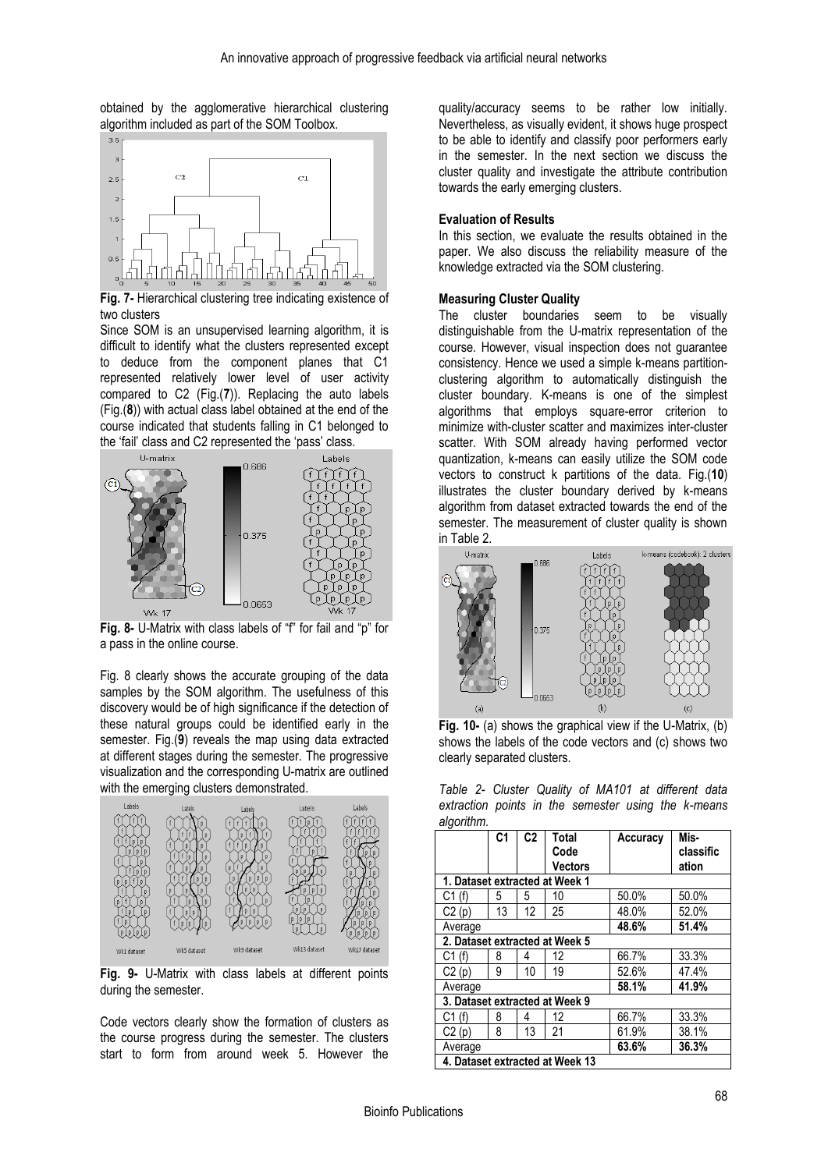obtained by the agglomerative hierarchical clustering algorithm included as part of the SOM Toolbox.



**Fig. 7-** Hierarchical clustering tree indicating existence of two clusters

Since SOM is an unsupervised learning algorithm, it is difficult to identify what the clusters represented except to deduce from the component planes that C1 represented relatively lower level of user activity compared to C2 (Fig.(**7**)). Replacing the auto labels (Fig.(**8**)) with actual class label obtained at the end of the course indicated that students falling in C1 belonged to the 'fail' class and C2 represented the 'pass' class.



**Fig. 8-** U-Matrix with class labels of "f" for fail and "p" for a pass in the online course.

Fig. 8 clearly shows the accurate grouping of the data samples by the SOM algorithm. The usefulness of this discovery would be of high significance if the detection of these natural groups could be identified early in the semester. Fig.(**9**) reveals the map using data extracted at different stages during the semester. The progressive visualization and the corresponding U-matrix are outlined with the emerging clusters demonstrated.



**Fig. 9-** U-Matrix with class labels at different points during the semester.

Code vectors clearly show the formation of clusters as the course progress during the semester. The clusters start to form from around week 5. However the

quality/accuracy seems to be rather low initially. Nevertheless, as visually evident, it shows huge prospect to be able to identify and classify poor performers early in the semester. In the next section we discuss the cluster quality and investigate the attribute contribution towards the early emerging clusters.

### **Evaluation of Results**

In this section, we evaluate the results obtained in the paper. We also discuss the reliability measure of the knowledge extracted via the SOM clustering.

#### **Measuring Cluster Quality**

The cluster boundaries seem to be visually distinguishable from the U-matrix representation of the course. However, visual inspection does not guarantee consistency. Hence we used a simple k-means partitionclustering algorithm to automatically distinguish the cluster boundary. K-means is one of the simplest algorithms that employs square-error criterion to minimize with-cluster scatter and maximizes inter-cluster scatter. With SOM already having performed vector quantization, k-means can easily utilize the SOM code vectors to construct k partitions of the data. Fig.(**10**) illustrates the cluster boundary derived by k-means algorithm from dataset extracted towards the end of the semester. The measurement of cluster quality is shown in Table 2.



**Fig. 10-** (a) shows the graphical view if the U-Matrix, (b) shows the labels of the code vectors and (c) shows two clearly separated clusters.

|            | Table 2- Cluster Quality of MA101 at different data |  |  |  |  |  |
|------------|-----------------------------------------------------|--|--|--|--|--|
|            | extraction points in the semester using the k-means |  |  |  |  |  |
| algorithm. |                                                     |  |  |  |  |  |

|                                 | C <sub>1</sub>                 | C <sub>2</sub> | Total<br>Code                  | Accuracy | Mis-<br>classific |  |
|---------------------------------|--------------------------------|----------------|--------------------------------|----------|-------------------|--|
|                                 |                                |                | <b>Vectors</b>                 |          | ation             |  |
| 1. Dataset extracted at Week 1  |                                |                |                                |          |                   |  |
| C1(f)                           | 5                              | 5              | 10                             | 50.0%    | 50.0%             |  |
| C2(p)                           | 13                             | 12             | 25                             | 48.0%    | 52.0%             |  |
| Average                         |                                |                |                                | 48.6%    | 51.4%             |  |
|                                 |                                |                | 2. Dataset extracted at Week 5 |          |                   |  |
| C1(f)                           | 8                              | 4              | 12                             | 66.7%    | 33.3%             |  |
| C2(p)                           | 9                              | 10             | 19                             | 52.6%    | 47.4%             |  |
| Average                         |                                |                |                                | 58.1%    | 41.9%             |  |
|                                 | 3. Dataset extracted at Week 9 |                |                                |          |                   |  |
| C1(f)                           | 8                              | 4              | 12                             | 66.7%    | 33.3%             |  |
| C2(p)                           | 8                              | 13             | 21                             | 61.9%    | 38.1%             |  |
| Average                         |                                |                |                                | 63.6%    | 36.3%             |  |
| 4. Dataset extracted at Week 13 |                                |                |                                |          |                   |  |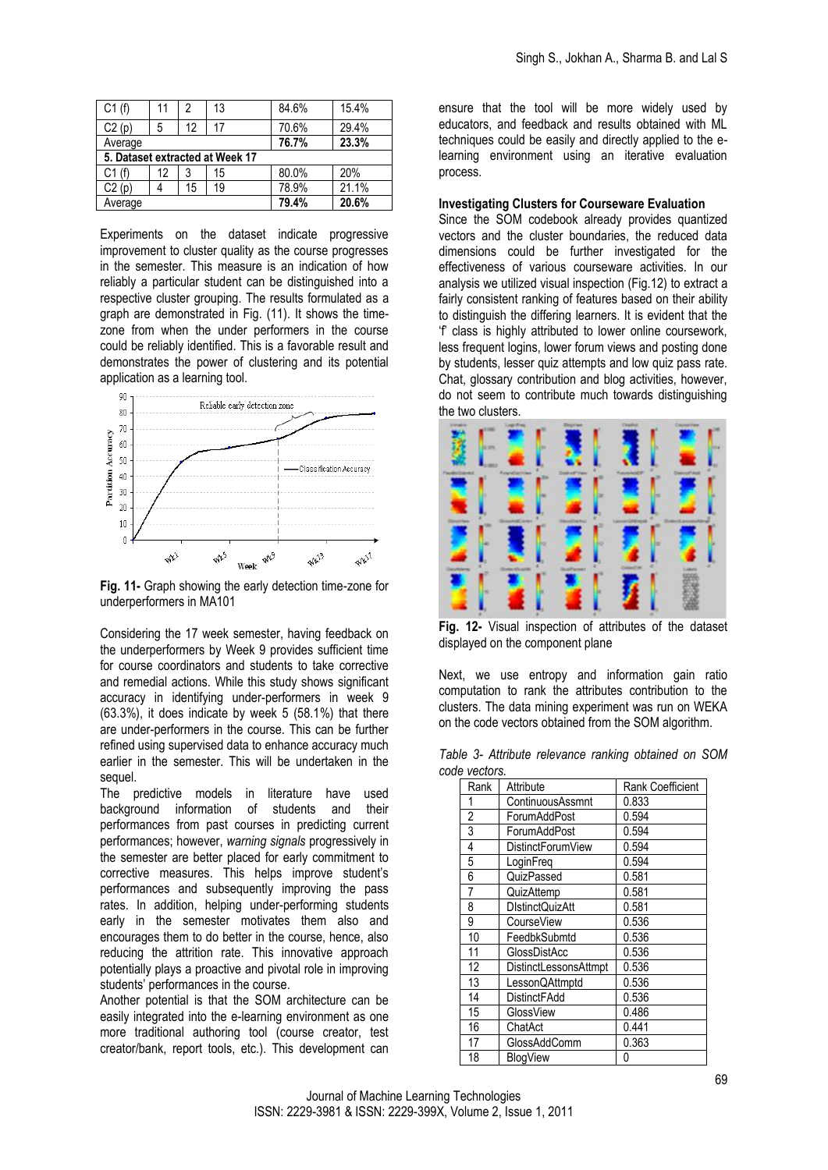| C1(f)   | 11 | 2  | 13                              | 84.6% | 15.4% |
|---------|----|----|---------------------------------|-------|-------|
| C2(p)   | 5  | 12 | 17                              | 70.6% | 29.4% |
| Average |    |    |                                 | 76.7% | 23.3% |
|         |    |    | 5. Dataset extracted at Week 17 |       |       |
| C1(f)   | 12 | 3  | 15                              | 80.0% | 20%   |
| C2(p)   |    | 15 | 19                              | 78.9% | 21.1% |
| Average |    |    |                                 | 79.4% | 20.6% |

Experiments on the dataset indicate progressive improvement to cluster quality as the course progresses in the semester. This measure is an indication of how reliably a particular student can be distinguished into a respective cluster grouping. The results formulated as a graph are demonstrated in Fig. (11). It shows the timezone from when the under performers in the course could be reliably identified. This is a favorable result and demonstrates the power of clustering and its potential application as a learning tool.



**Fig. 11-** Graph showing the early detection time-zone for underperformers in MA101

Considering the 17 week semester, having feedback on the underperformers by Week 9 provides sufficient time for course coordinators and students to take corrective and remedial actions. While this study shows significant accuracy in identifying under-performers in week 9 (63.3%), it does indicate by week 5 (58.1%) that there are under-performers in the course. This can be further refined using supervised data to enhance accuracy much earlier in the semester. This will be undertaken in the sequel.

The predictive models in literature have used background information of students and their performances from past courses in predicting current performances; however, *warning signals* progressively in the semester are better placed for early commitment to corrective measures. This helps improve student's performances and subsequently improving the pass rates. In addition, helping under-performing students early in the semester motivates them also and encourages them to do better in the course, hence, also reducing the attrition rate. This innovative approach potentially plays a proactive and pivotal role in improving students' performances in the course.

Another potential is that the SOM architecture can be easily integrated into the e-learning environment as one more traditional authoring tool (course creator, test creator/bank, report tools, etc.). This development can

ensure that the tool will be more widely used by educators, and feedback and results obtained with ML techniques could be easily and directly applied to the elearning environment using an iterative evaluation process.

#### **Investigating Clusters for Courseware Evaluation**

Since the SOM codebook already provides quantized vectors and the cluster boundaries, the reduced data dimensions could be further investigated for the effectiveness of various courseware activities. In our analysis we utilized visual inspection (Fig.12) to extract a fairly consistent ranking of features based on their ability to distinguish the differing learners. It is evident that the 'f' class is highly attributed to lower online coursework, less frequent logins, lower forum views and posting done by students, lesser quiz attempts and low quiz pass rate. Chat, glossary contribution and blog activities, however, do not seem to contribute much towards distinguishing the two clusters.



**Fig. 12-** Visual inspection of attributes of the dataset displayed on the component plane

Next, we use entropy and information gain ratio computation to rank the attributes contribution to the clusters. The data mining experiment was run on WEKA on the code vectors obtained from the SOM algorithm.

|               | Table 3- Attribute relevance ranking obtained on SOM |  |  |
|---------------|------------------------------------------------------|--|--|
| code vectors. |                                                      |  |  |

| Rank | Attribute              | <b>Rank Coefficient</b> |
|------|------------------------|-------------------------|
| 1    | ContinuousAssmnt       | 0.833                   |
| 2    | ForumAddPost           | 0.594                   |
| 3    | ForumAddPost           | 0.594                   |
| 4    | DistinctForumView      | 0.594                   |
| 5    | LoginFreq              | 0.594                   |
| 6    | QuizPassed             | 0.581                   |
| 7    | QuizAttemp             | 0.581                   |
| 8    | <b>DIstinctQuizAtt</b> | 0.581                   |
| 9    | CourseView             | 0.536                   |
| 10   | FeedbkSubmtd           | 0.536                   |
| 11   | GlossDistAcc           | 0.536                   |
| 12   | DistinctLessonsAttmpt  | 0.536                   |
| 13   | LessonQAttmptd         | 0.536                   |
| 14   | DistinctFAdd           | 0.536                   |
| 15   | GlossView              | 0.486                   |
| 16   | ChatAct                | 0.441                   |
| 17   | GlossAddComm           | 0.363                   |
| 18   | <b>BlogView</b>        | 0                       |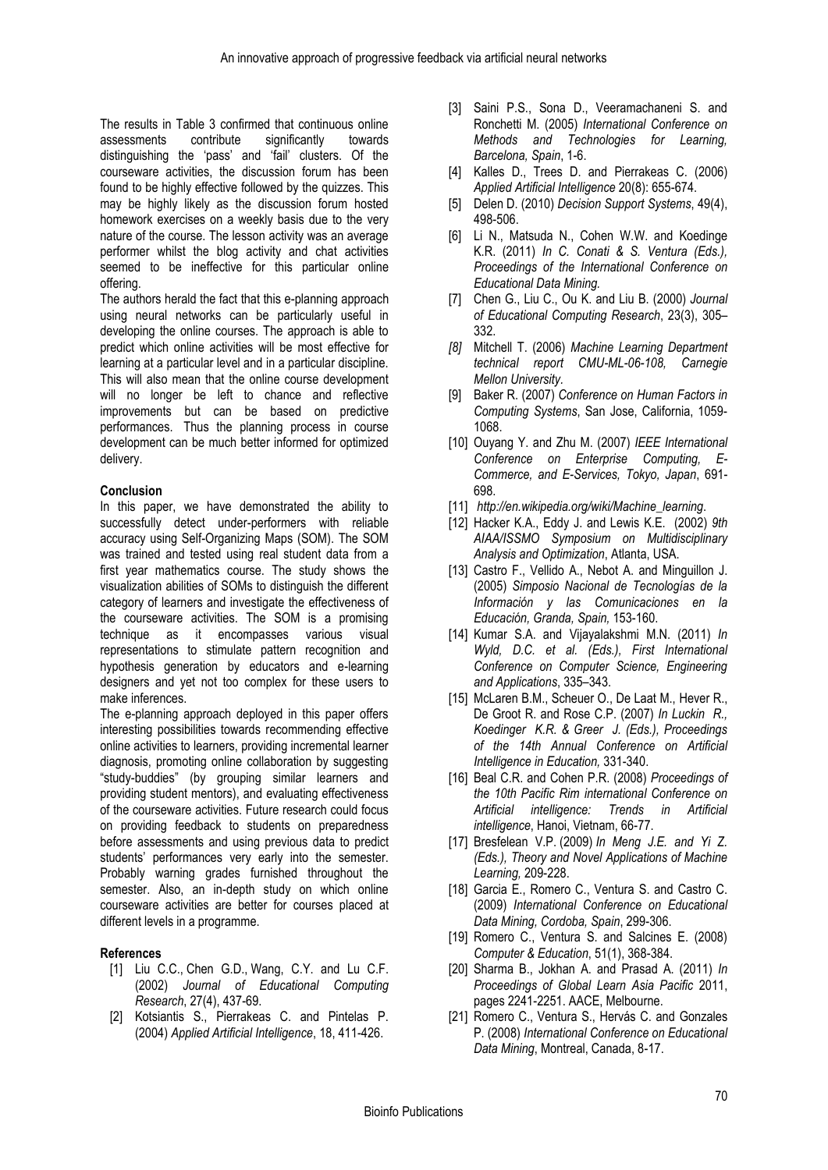The results in Table 3 confirmed that continuous online assessments contribute significantly towards distinguishing the 'pass' and 'fail' clusters. Of the courseware activities, the discussion forum has been found to be highly effective followed by the quizzes. This may be highly likely as the discussion forum hosted homework exercises on a weekly basis due to the very nature of the course. The lesson activity was an average performer whilst the blog activity and chat activities seemed to be ineffective for this particular online offering.

The authors herald the fact that this e-planning approach using neural networks can be particularly useful in developing the online courses. The approach is able to predict which online activities will be most effective for learning at a particular level and in a particular discipline. This will also mean that the online course development will no longer be left to chance and reflective improvements but can be based on predictive performances. Thus the planning process in course development can be much better informed for optimized delivery.

## **Conclusion**

In this paper, we have demonstrated the ability to successfully detect under-performers with reliable accuracy using Self-Organizing Maps (SOM). The SOM was trained and tested using real student data from a first year mathematics course. The study shows the visualization abilities of SOMs to distinguish the different category of learners and investigate the effectiveness of the courseware activities. The SOM is a promising technique as it encompasses various visual representations to stimulate pattern recognition and hypothesis generation by educators and e-learning designers and yet not too complex for these users to make inferences.

The e-planning approach deployed in this paper offers interesting possibilities towards recommending effective online activities to learners, providing incremental learner diagnosis, promoting online collaboration by suggesting "study-buddies" (by grouping similar learners and providing student mentors), and evaluating effectiveness of the courseware activities. Future research could focus on providing feedback to students on preparedness before assessments and using previous data to predict students' performances very early into the semester. Probably warning grades furnished throughout the semester. Also, an in-depth study on which online courseware activities are better for courses placed at different levels in a programme.

## **References**

- [1] Liu C.C., Chen G.D., Wang, C.Y. and Lu C.F. (2002) *Journal of Educational Computing Research*, 27(4), 437-69.
- [2] Kotsiantis S., Pierrakeas C. and Pintelas P. (2004) *Applied Artificial Intelligence*, 18, 411-426.
- [3] Saini P.S., Sona D., Veeramachaneni S. and Ronchetti M. (2005) *International Conference on Methods and Technologies for Learning, Barcelona, Spain*, 1-6.
- [4] Kalles D., Trees D. and Pierrakeas C. (2006) *Applied Artificial Intelligence* 20(8): 655-674.
- [5] Delen D. (2010) *Decision Support Systems*, 49(4), 498-506.
- [6] Li N., Matsuda N., Cohen W.W. and Koedinge K.R. (2011) *In C. Conati & S. Ventura (Eds.), Proceedings of the International Conference on Educational Data Mining.*
- [7] Chen G., Liu C., Ou K. and Liu B. (2000) *Journal of Educational Computing Research*, 23(3), 305– 332.
- *[8]* Mitchell T. (2006) *Machine Learning Department technical report CMU-ML-06-108, Carnegie Mellon University.*
- [9] Baker R. (2007) *Conference on Human Factors in Computing Systems*, San Jose, California, 1059- 1068.
- [10] Ouyang Y. and Zhu M. (2007) *IEEE International Conference on Enterprise Computing, E-Commerce, and E-Services, Tokyo, Japan*, 691- 698.
- [11] *http://en.wikipedia.org/wiki/Machine\_learning*.
- [12] Hacker K.A., Eddy J. and Lewis K.E. (2002) *9th AIAA/ISSMO Symposium on Multidisciplinary Analysis and Optimization*, Atlanta, USA.
- [13] Castro F., Vellido A., Nebot A. and Minguillon J. (2005) *Simposio Nacional de Tecnologías de la Información y las Comunicaciones en la Educación, Granda, Spain,* 153-160.
- [14] Kumar S.A. and Vijayalakshmi M.N. (2011) *In Wyld, D.C. et al. (Eds.), First International Conference on Computer Science, Engineering and Applications*, 335–343.
- [15] McLaren B.M., Scheuer O., De Laat M., Hever R., De Groot R. and Rose C.P. (2007) *In Luckin R., Koedinger K.R. & Greer J. (Eds.), Proceedings of the 14th Annual Conference on Artificial Intelligence in Education,* 331-340.
- [16] Beal C.R. and Cohen P.R. (2008) *Proceedings of the 10th Pacific Rim international Conference on Artificial intelligence: Trends in Artificial intelligence*, Hanoi, Vietnam, 66-77.
- [17] Bresfelean V.P. (2009) *In Meng J.E. and Yi Z. (Eds.), Theory and Novel Applications of Machine Learning,* 209-228.
- [18] Garcia E., Romero C., Ventura S. and Castro C. (2009) *International Conference on Educational Data Mining, Cordoba, Spain*, 299-306.
- [19] Romero C., Ventura S. and Salcines E. (2008) *Computer & Education*, 51(1), 368-384.
- [20] Sharma B., Jokhan A. and Prasad A. (2011) *In Proceedings of Global Learn Asia Pacific* 2011, pages 2241-2251. AACE, Melbourne.
- [21] Romero C., Ventura S., Hervás C. and Gonzales P. (2008) *International Conference on Educational Data Mining*, Montreal, Canada, 8-17.